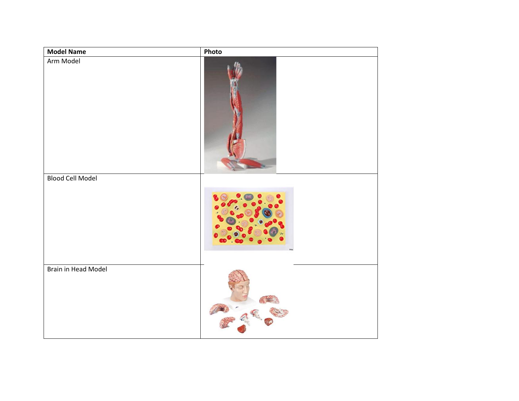| <b>Model Name</b>       | Photo |
|-------------------------|-------|
| Arm Model               |       |
| <b>Blood Cell Model</b> |       |
|                         |       |
| Brain in Head Model     |       |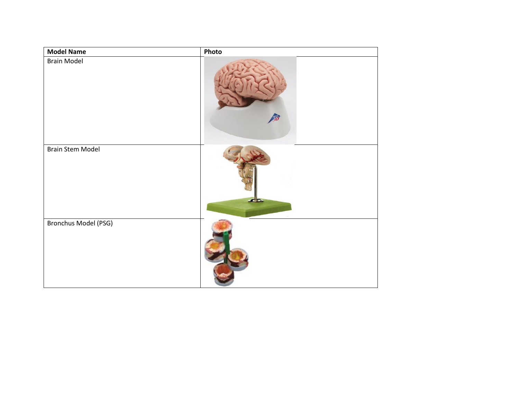| <b>Model Name</b>           | Photo |
|-----------------------------|-------|
| <b>Brain Model</b>          |       |
| <b>Brain Stem Model</b>     |       |
| <b>Bronchus Model (PSG)</b> |       |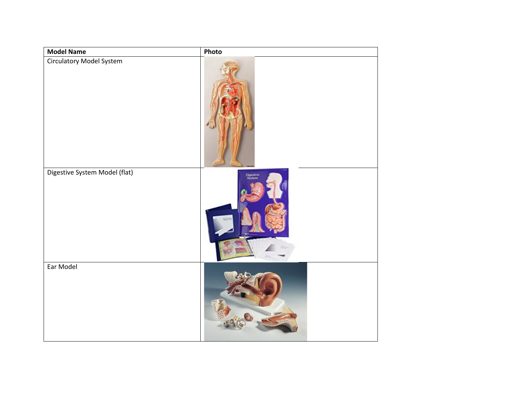| <b>Model Name</b>               | Photo               |
|---------------------------------|---------------------|
| <b>Circulatory Model System</b> |                     |
| Digestive System Model (flat)   | Digestive<br>System |
| Ear Model                       |                     |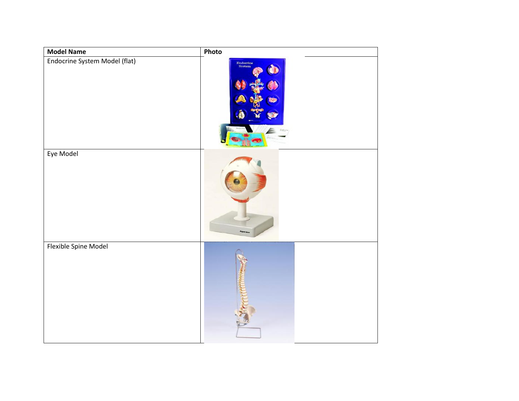| <b>Model Name</b>             | Photo               |
|-------------------------------|---------------------|
| Endocrine System Model (flat) | Endocrine<br>System |
| Eye Model                     |                     |
|                               |                     |
| Flexible Spine Model          |                     |
|                               |                     |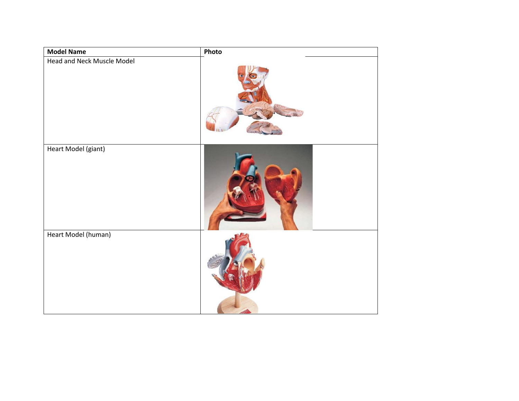| <b>Model Name</b>          | Photo |
|----------------------------|-------|
| Head and Neck Muscle Model |       |
| Heart Model (giant)        |       |
| Heart Model (human)        |       |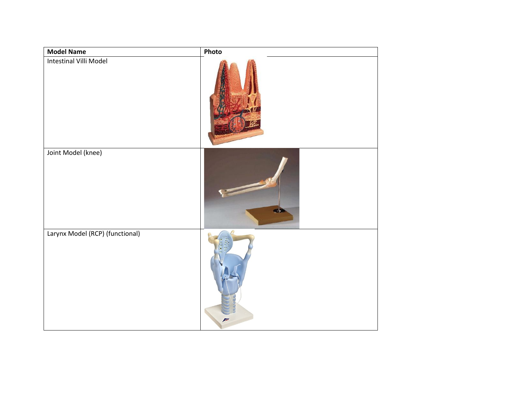| <b>Model Name</b>               | Photo                     |
|---------------------------------|---------------------------|
| Intestinal Villi Model          |                           |
| Joint Model (knee)              |                           |
| Larynx Model (RCP) (functional) | $\mathcal{F}^{\text{ss}}$ |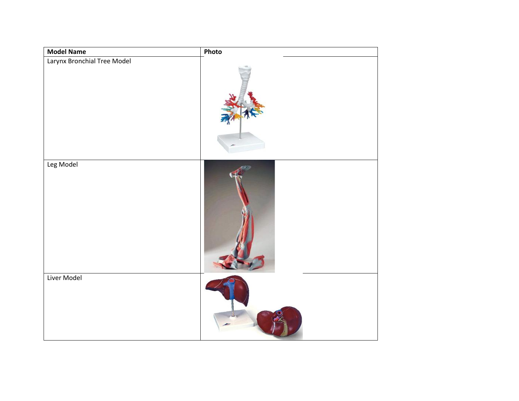| <b>Model Name</b>           | Photo |
|-----------------------------|-------|
| Larynx Bronchial Tree Model |       |
| Leg Model                   |       |
| Liver Model                 |       |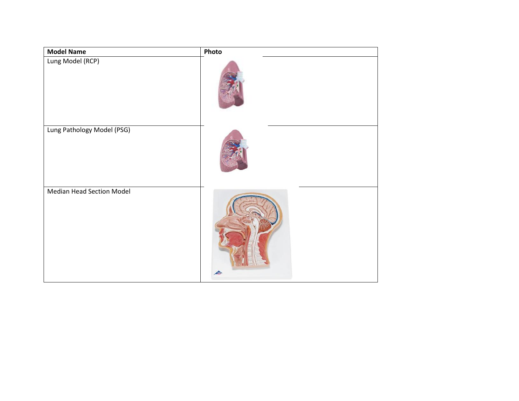| <b>Model Name</b>                | Photo |
|----------------------------------|-------|
| Lung Model (RCP)                 |       |
| Lung Pathology Model (PSG)       |       |
| <b>Median Head Section Model</b> |       |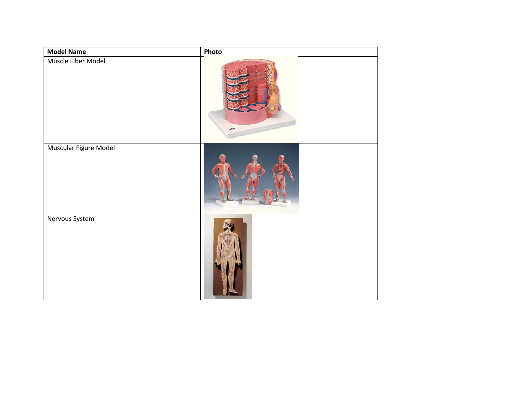| <b>Model Name</b>     | Photo      |
|-----------------------|------------|
| Muscle Fiber Model    | <b>ATT</b> |
| Muscular Figure Model |            |
| Nervous System        |            |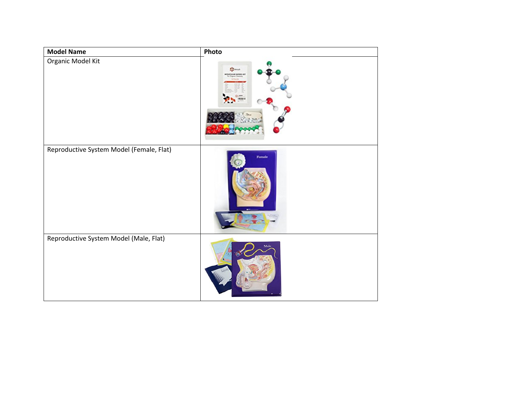| <b>Model Name</b>                        | Photo                                                            |
|------------------------------------------|------------------------------------------------------------------|
| Organic Model Kit                        | $\frac{1}{2}$ , where $\frac{1}{2}$<br><b>OUTCULAR MODEL KIT</b> |
| Reproductive System Model (Female, Flat) | Female                                                           |
| Reproductive System Model (Male, Flat)   |                                                                  |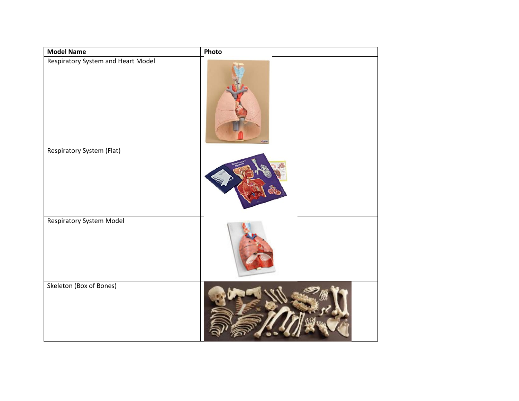| <b>Model Name</b>                  | Photo |
|------------------------------------|-------|
| Respiratory System and Heart Model |       |
| <b>Respiratory System (Flat)</b>   |       |
|                                    |       |
| <b>Respiratory System Model</b>    |       |
| Skeleton (Box of Bones)            |       |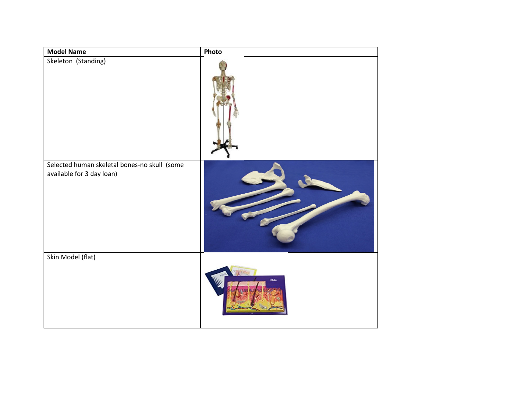| <b>Model Name</b>                                                         | Photo |
|---------------------------------------------------------------------------|-------|
| Skeleton (Standing)                                                       |       |
| Selected human skeletal bones-no skull (some<br>available for 3 day loan) |       |
| Skin Model (flat)                                                         | sala  |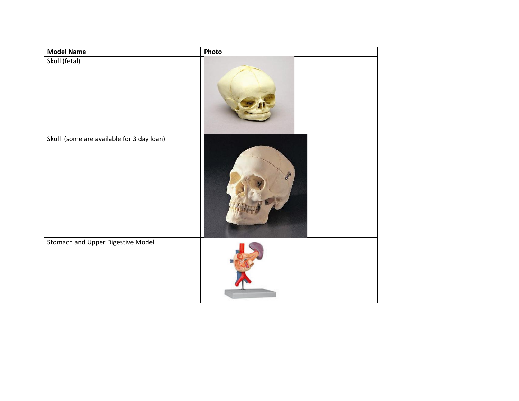| <b>Model Name</b>                         | Photo |
|-------------------------------------------|-------|
| Skull (fetal)                             |       |
| Skull (some are available for 3 day loan) |       |
| Stomach and Upper Digestive Model         |       |